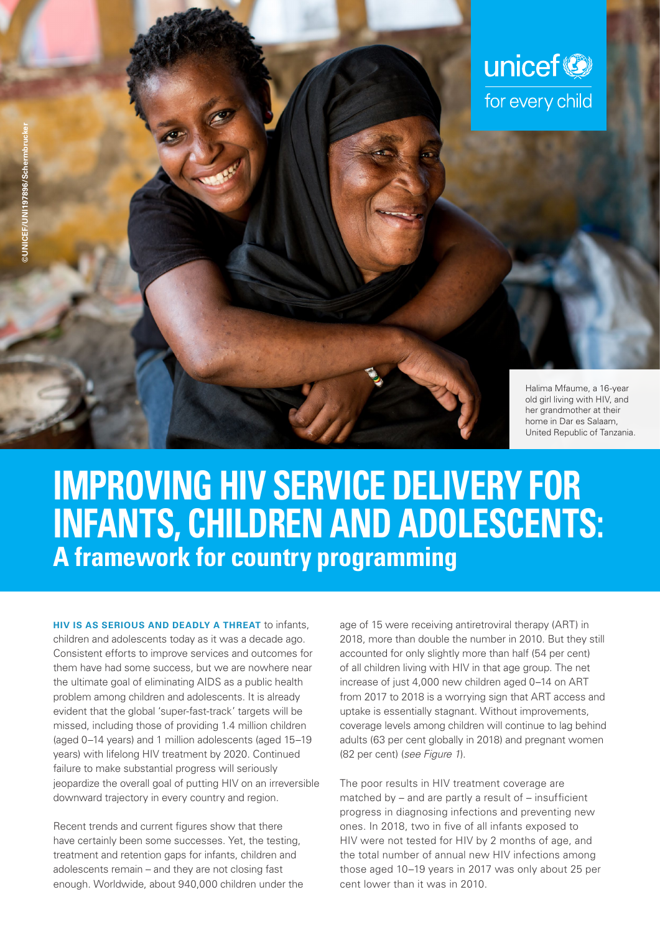

# **IMPROVING HIV SERVICE DELIVERY FOR INFANTS, CHILDREN AND ADOLESCENTS: A framework for country programming**

**HIV IS AS SERIOUS AND DEADLY A THREAT** to infants, children and adolescents today as it was a decade ago. Consistent efforts to improve services and outcomes for them have had some success, but we are nowhere near the ultimate goal of eliminating AIDS as a public health problem among children and adolescents. It is already evident that the global 'super-fast-track' targets will be missed, including those of providing 1.4 million children (aged 0–14 years) and 1 million adolescents (aged 15–19 years) with lifelong HIV treatment by 2020. Continued failure to make substantial progress will seriously jeopardize the overall goal of putting HIV on an irreversible downward trajectory in every country and region.

Recent trends and current figures show that there have certainly been some successes. Yet, the testing, treatment and retention gaps for infants, children and adolescents remain – and they are not closing fast enough. Worldwide, about 940,000 children under the age of 15 were receiving antiretroviral therapy (ART) in 2018, more than double the number in 2010. But they still accounted for only slightly more than half (54 per cent) of all children living with HIV in that age group. The net increase of just 4,000 new children aged 0–14 on ART from 2017 to 2018 is a worrying sign that ART access and uptake is essentially stagnant. Without improvements, coverage levels among children will continue to lag behind adults (63 per cent globally in 2018) and pregnant women (82 per cent) (*see Figure 1*).

The poor results in HIV treatment coverage are matched by – and are partly a result of – insufficient progress in diagnosing infections and preventing new ones. In 2018, two in five of all infants exposed to HIV were not tested for HIV by 2 months of age, and the total number of annual new HIV infections among those aged 10–19 years in 2017 was only about 25 per cent lower than it was in 2010.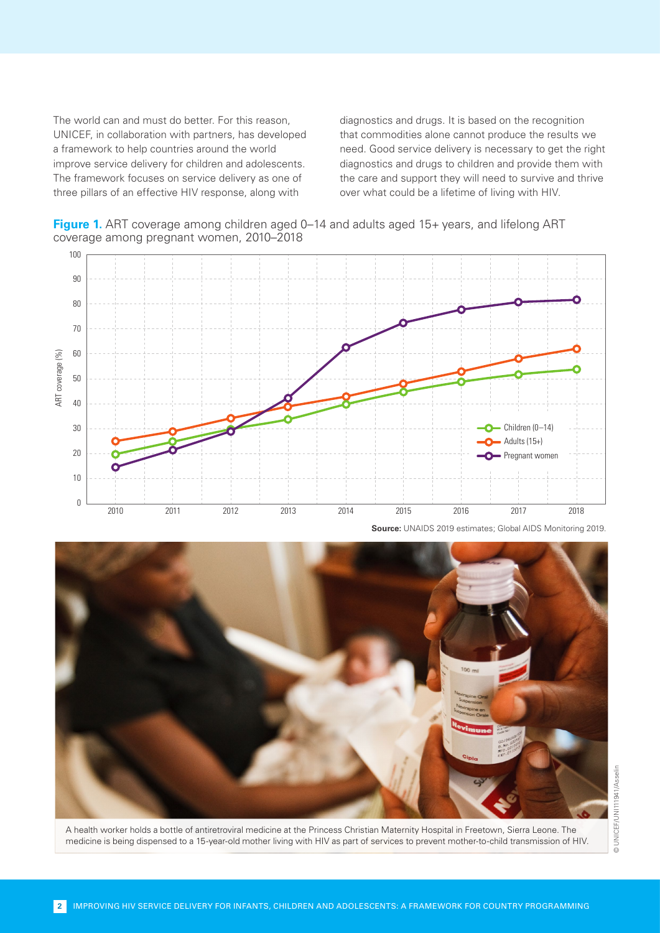The world can and must do better. For this reason, UNICEF, in collaboration with partners, has developed a framework to help countries around the world improve service delivery for children and adolescents. The framework focuses on service delivery as one of three pillars of an effective HIV response, along with

diagnostics and drugs. It is based on the recognition that commodities alone cannot produce the results we need. Good service delivery is necessary to get the right diagnostics and drugs to children and provide them with the care and support they will need to survive and thrive over what could be a lifetime of living with HIV.

**Figure 1.** ART coverage among children aged 0–14 and adults aged 15+ years, and lifelong ART coverage among pregnant women, 2010–2018





A health worker holds a bottle of antiretroviral medicine at the Princess Christian Maternity Hospital in Freetown, Sierra Leone. The medicine is being dispensed to a 15-year-old mother living with HIV as part of services to prevent mother-to-child transmission of HIV.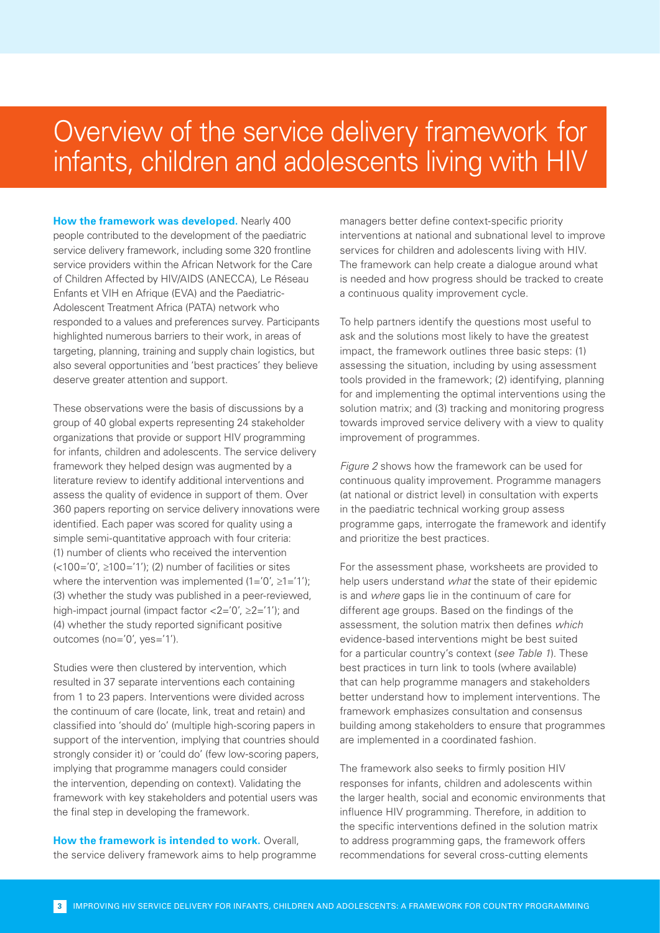### Overview of the service delivery framework for infants, children and adolescents living with HIV

**How the framework was developed.** Nearly 400 people contributed to the development of the paediatric service delivery framework, including some 320 frontline service providers within the African Network for the Care of Children Affected by HIV/AIDS (ANECCA), Le Réseau Enfants et VIH en Afrique (EVA) and the Paediatric-Adolescent Treatment Africa (PATA) network who responded to a values and preferences survey. Participants highlighted numerous barriers to their work, in areas of targeting, planning, training and supply chain logistics, but also several opportunities and 'best practices' they believe deserve greater attention and support.

These observations were the basis of discussions by a group of 40 global experts representing 24 stakeholder organizations that provide or support HIV programming for infants, children and adolescents. The service delivery framework they helped design was augmented by a literature review to identify additional interventions and assess the quality of evidence in support of them. Over 360 papers reporting on service delivery innovations were identified. Each paper was scored for quality using a simple semi-quantitative approach with four criteria: (1) number of clients who received the intervention  $\left($  <100='0',  $\geq$ 100='1'); (2) number of facilities or sites where the intervention was implemented  $(1=0', 21=1')$ ; (3) whether the study was published in a peer-reviewed, high-impact journal (impact factor <2='0', ≥2='1'); and (4) whether the study reported significant positive outcomes (no='0', yes='1').

Studies were then clustered by intervention, which resulted in 37 separate interventions each containing from 1 to 23 papers. Interventions were divided across the continuum of care (locate, link, treat and retain) and classified into 'should do' (multiple high-scoring papers in support of the intervention, implying that countries should strongly consider it) or 'could do' (few low-scoring papers, implying that programme managers could consider the intervention, depending on context). Validating the framework with key stakeholders and potential users was the final step in developing the framework.

**How the framework is intended to work.** Overall, the service delivery framework aims to help programme

managers better define context-specific priority interventions at national and subnational level to improve services for children and adolescents living with HIV. The framework can help create a dialogue around what is needed and how progress should be tracked to create a continuous quality improvement cycle.

To help partners identify the questions most useful to ask and the solutions most likely to have the greatest impact, the framework outlines three basic steps: (1) assessing the situation, including by using assessment tools provided in the framework; (2) identifying, planning for and implementing the optimal interventions using the solution matrix; and (3) tracking and monitoring progress towards improved service delivery with a view to quality improvement of programmes.

*Figure 2* shows how the framework can be used for continuous quality improvement. Programme managers (at national or district level) in consultation with experts in the paediatric technical working group assess programme gaps, interrogate the framework and identify and prioritize the best practices.

For the assessment phase, worksheets are provided to help users understand *what* the state of their epidemic is and *where* gaps lie in the continuum of care for different age groups. Based on the findings of the assessment, the solution matrix then defines *which* evidence-based interventions might be best suited for a particular country's context (*see Table 1*). These best practices in turn link to tools (where available) that can help programme managers and stakeholders better understand how to implement interventions. The framework emphasizes consultation and consensus building among stakeholders to ensure that programmes are implemented in a coordinated fashion.

The framework also seeks to firmly position HIV responses for infants, children and adolescents within the larger health, social and economic environments that influence HIV programming. Therefore, in addition to the specific interventions defined in the solution matrix to address programming gaps, the framework offers recommendations for several cross-cutting elements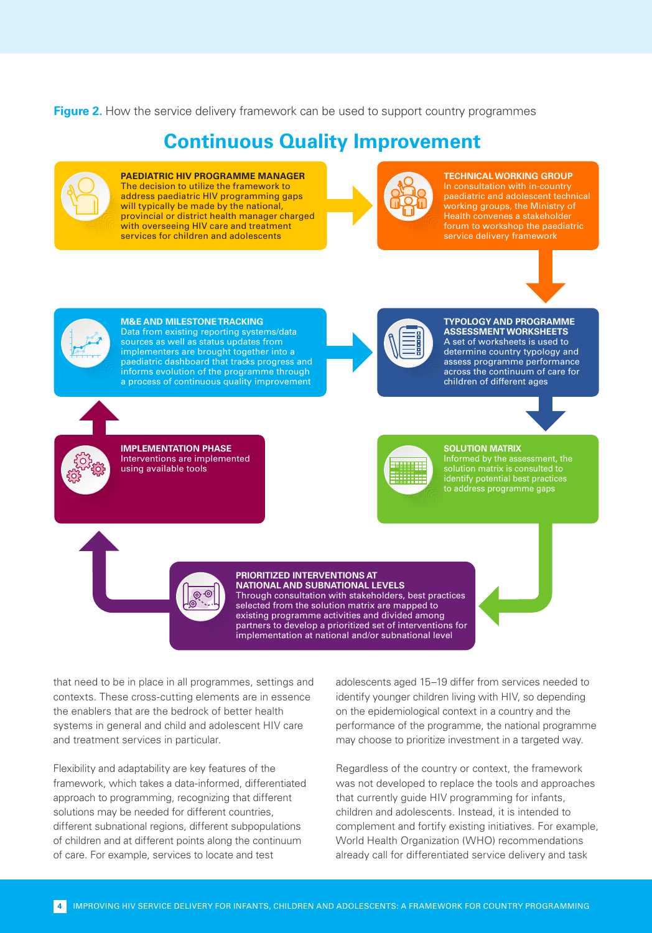**Figure 2.** How the service delivery framework can be used to support country programmes

### **Continuous Quality Improvement**



**PAEDIATRIC HIV PROGRAMME MANAGER**  The decision to utilize the framework to address paediatric HIV programming gaps will typically be made by the national, provincial or district health manager charged with overseeing HIV care and treatment services for children and adolescents



**TECHNICAL WORKING GROUP**  In consultation with in-country paediatric and adolescent technical working groups, the Ministry of Health convenes a stakeholder forum to workshop the paediatric service delivery framework





**M&E AND MILESTONE TRACKING** Data from existing reporting systems/data sources as well as status updates from implementers are brought together into a paediatric dashboard that tracks progress and informs evolution of the programme through a process of continuous quality improvement



**IMPLEMENTATION PHASE** Interventions are implemented using available tools



**TYPOLOGY AND PROGRAMME ASSESSMENT WORKSHEETS** A set of worksheets is used to determine country typology and assess programme performance across the continuum of care for children of different ages



#### **SOLUTION MATRIX**

Informed by the assessment, the solution matrix is consulted to identify potential best practices to address programme gaps



Through consultation with stakeholders, best practices selected from the solution matrix are mapped to existing programme activities and divided among partners to develop a prioritized set of interventions for implementation at national and/or subnational level

that need to be in place in all programmes, settings and contexts. These cross-cutting elements are in essence the enablers that are the bedrock of better health systems in general and child and adolescent HIV care and treatment services in particular.

Flexibility and adaptability are key features of the framework, which takes a data-informed, differentiated approach to programming, recognizing that different solutions may be needed for different countries, different subnational regions, different subpopulations of children and at different points along the continuum of care. For example, services to locate and test

adolescents aged 15–19 differ from services needed to identify younger children living with HIV, so depending on the epidemiological context in a country and the performance of the programme, the national programme may choose to prioritize investment in a targeted way.

Regardless of the country or context, the framework was not developed to replace the tools and approaches that currently guide HIV programming for infants, children and adolescents. Instead, it is intended to complement and fortify existing initiatives. For example, World Health Organization (WHO) recommendations already call for differentiated service delivery and task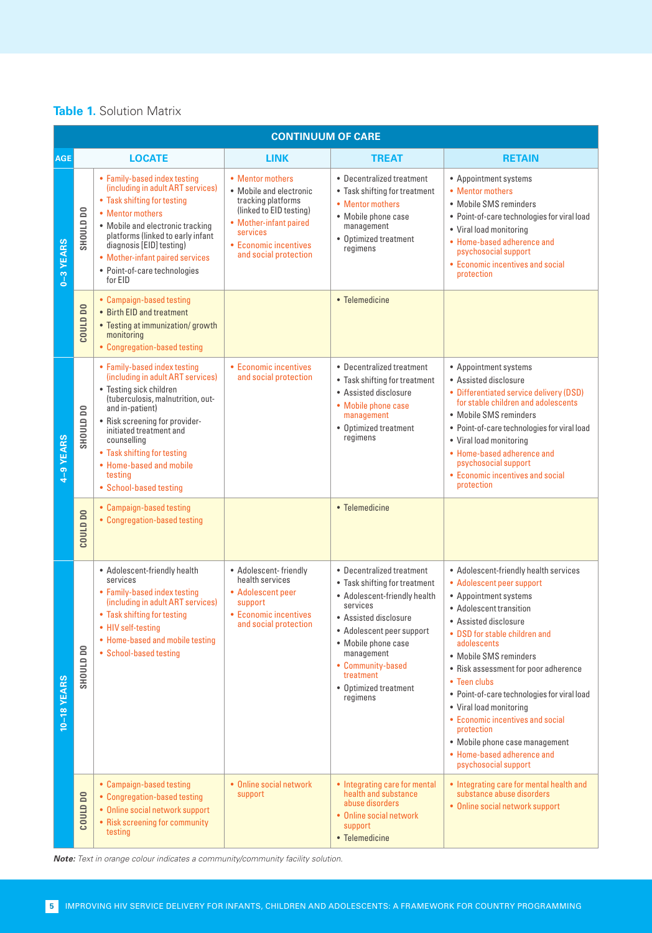#### **Table 1. Solution Matrix**

| <b>CONTINUUM OF CARE</b> |                   |                                                                                                                                                                                                                                                                                                                                 |                                                                                                                                                                                      |                                                                                                                                                                                                                                                                          |                                                                                                                                                                                                                                                                                                                                                                                                                                                                                                       |
|--------------------------|-------------------|---------------------------------------------------------------------------------------------------------------------------------------------------------------------------------------------------------------------------------------------------------------------------------------------------------------------------------|--------------------------------------------------------------------------------------------------------------------------------------------------------------------------------------|--------------------------------------------------------------------------------------------------------------------------------------------------------------------------------------------------------------------------------------------------------------------------|-------------------------------------------------------------------------------------------------------------------------------------------------------------------------------------------------------------------------------------------------------------------------------------------------------------------------------------------------------------------------------------------------------------------------------------------------------------------------------------------------------|
| <b>AGE</b>               |                   | <b>LOCATE</b>                                                                                                                                                                                                                                                                                                                   | <b>LINK</b>                                                                                                                                                                          | <b>TREAT</b>                                                                                                                                                                                                                                                             | <b>RETAIN</b>                                                                                                                                                                                                                                                                                                                                                                                                                                                                                         |
| 0-3 YEARS                | SHOULD DO         | • Family-based index testing<br>(including in adult ART services)<br>• Task shifting for testing<br>• Mentor mothers<br>• Mobile and electronic tracking<br>platforms (linked to early infant<br>diagnosis [EID] testing)<br>• Mother-infant paired services<br>• Point-of-care technologies<br>for EID                         | • Mentor mothers<br>• Mobile and electronic<br>tracking platforms<br>(linked to EID testing)<br>• Mother-infant paired<br>services<br>• Economic incentives<br>and social protection | • Decentralized treatment<br>• Task shifting for treatment<br>• Mentor mothers<br>• Mobile phone case<br>management<br>• Optimized treatment<br>regimens                                                                                                                 | • Appointment systems<br>• Mentor mothers<br>• Mobile SMS reminders<br>• Point-of-care technologies for viral load<br>• Viral load monitoring<br>• Home-based adherence and<br>psychosocial support<br>• Economic incentives and social<br>protection                                                                                                                                                                                                                                                 |
|                          | COULD DO          | • Campaign-based testing<br>• Birth EID and treatment<br>• Testing at immunization/growth<br>monitoring<br>• Congregation-based testing                                                                                                                                                                                         |                                                                                                                                                                                      | • Telemedicine                                                                                                                                                                                                                                                           |                                                                                                                                                                                                                                                                                                                                                                                                                                                                                                       |
| 4-9 YEARS                | SHOULD DO         | • Family-based index testing<br>(including in adult ART services)<br>• Testing sick children<br>(tuberculosis, malnutrition, out-<br>and in-patient)<br>• Risk screening for provider-<br>initiated treatment and<br>counselling<br>• Task shifting for testing<br>• Home-based and mobile<br>testing<br>• School-based testing | • Economic incentives<br>and social protection                                                                                                                                       | • Decentralized treatment<br>• Task shifting for treatment<br>• Assisted disclosure<br>• Mobile phone case<br>management<br>• Optimized treatment<br>regimens                                                                                                            | • Appointment systems<br>• Assisted disclosure<br>• Differentiated service delivery (DSD)<br>for stable children and adolescents<br>• Mobile SMS reminders<br>· Point-of-care technologies for viral load<br>• Viral load monitoring<br>• Home-based adherence and<br>psychosocial support<br>• Economic incentives and social<br>protection                                                                                                                                                          |
|                          | <b>COULD DO</b>   | • Campaign-based testing<br>• Congregation-based testing                                                                                                                                                                                                                                                                        |                                                                                                                                                                                      | • Telemedicine                                                                                                                                                                                                                                                           |                                                                                                                                                                                                                                                                                                                                                                                                                                                                                                       |
| 10-18 YEARS              | <b>OU UTIDDHS</b> | • Adolescent-friendly health<br>services<br>• Family-based index testing<br>(including in adult ART services)<br>• Task shifting for testing<br>• HIV self-testing<br>• Home-based and mobile testing<br>• School-based testing                                                                                                 | • Adolescent-friendly<br>health services<br>• Adolescent peer<br>support<br>• Economic incentives<br>and social protection                                                           | • Decentralized treatment<br>• Task shifting for treatment<br>• Adolescent-friendly health<br>services<br>• Assisted disclosure<br>• Adolescent peer support<br>• Mobile phone case<br>management<br>• Community-based<br>treatment<br>• Optimized treatment<br>regimens | • Adolescent-friendly health services<br>• Adolescent peer support<br>• Appointment systems<br>• Adolescent transition<br>• Assisted disclosure<br>• DSD for stable children and<br>adolescents<br>• Mobile SMS reminders<br>• Risk assessment for poor adherence<br>• Teen clubs<br>· Point-of-care technologies for viral load<br>• Viral load monitoring<br>• Economic incentives and social<br>protection<br>• Mobile phone case management<br>• Home-based adherence and<br>psychosocial support |
|                          | <b>COULD DO</b>   | • Campaign-based testing<br>• Congregation-based testing<br>• Online social network support<br>• Risk screening for community<br>testing                                                                                                                                                                                        | • Online social network<br>support                                                                                                                                                   | • Integrating care for mental<br>health and substance<br>abuse disorders<br>• Online social network<br>support<br>• Telemedicine                                                                                                                                         | • Integrating care for mental health and<br>substance abuse disorders<br>• Online social network support                                                                                                                                                                                                                                                                                                                                                                                              |

*Note: Text in orange colour indicates a community/community facility solution.*